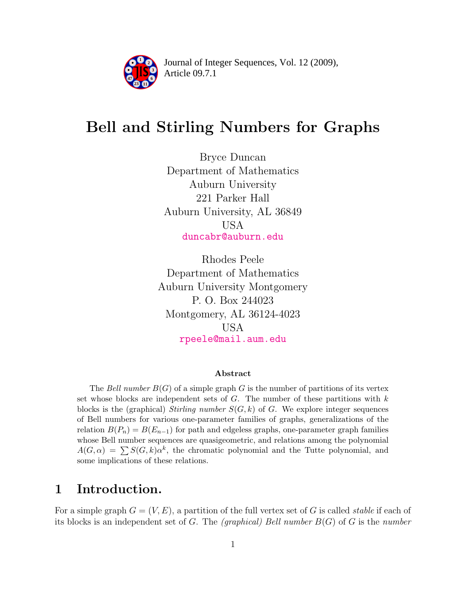

Article 09.7.1 **<sup>2</sup>** Journal of Integer Sequences, Vol. 12 (2009),

# Bell and Stirling Numbers for Graphs

Bryce Duncan Department of Mathematics Auburn University 221 Parker Hall Auburn University, AL 36849 USA [duncabr@auburn.edu](mailto:duncabr@auburn.edu)

Rhodes Peele Department of Mathematics Auburn University Montgomery P. O. Box 244023 Montgomery, AL 36124-4023 USA [rpeele@mail.aum.edu](mailto:rpeele@mail.aum.edu)

#### Abstract

The Bell number  $B(G)$  of a simple graph G is the number of partitions of its vertex set whose blocks are independent sets of  $G$ . The number of these partitions with  $k$ blocks is the (graphical) Stirling number  $S(G, k)$  of G. We explore integer sequences of Bell numbers for various one-parameter families of graphs, generalizations of the relation  $B(P_n) = B(E_{n-1})$  for path and edgeless graphs, one-parameter graph families whose Bell number sequences are quasigeometric, and relations among the polynomial  $A(G, \alpha) = \sum S(G, k) \alpha^{k}$ , the chromatic polynomial and the Tutte polynomial, and some implications of these relations.

### <span id="page-0-0"></span>1 Introduction.

For a simple graph  $G = (V, E)$ , a partition of the full vertex set of G is called *stable* if each of its blocks is an independent set of G. The *(graphical)* Bell number  $B(G)$  of G is the number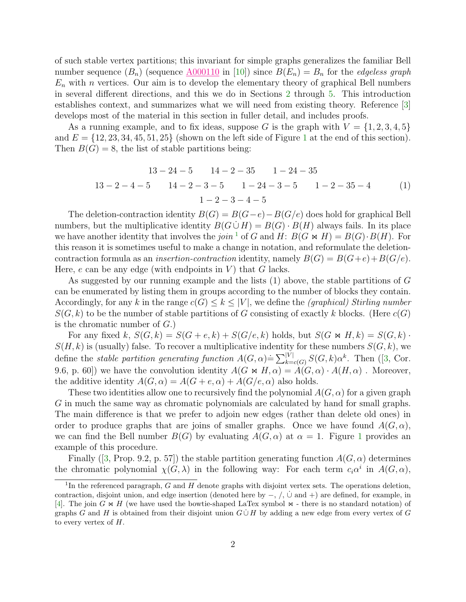of such stable vertex partitions; this invariant for simple graphs generalizes the familiar Bell number sequence  $(B_n)$  (sequence  $\underline{A000110}$  $\underline{A000110}$  $\underline{A000110}$  in [\[10\]](#page-12-0)) since  $B(E_n) = B_n$  for the *edgeless graph*  $E_n$  with n vertices. Our aim is to develop the elementary theory of graphical Bell numbers in several different directions, and this we do in Sections [2](#page-2-0) through [5.](#page-10-0) This introduction establishes context, and summarizes what we will need from existing theory. Reference [\[3\]](#page-11-0) develops most of the material in this section in fuller detail, and includes proofs.

As a running example, and to fix ideas, suppose G is the graph with  $V = \{1, 2, 3, 4, 5\}$ and  $E = \{12, 23, 34, 45, 51, 25\}$  $E = \{12, 23, 34, 45, 51, 25\}$  $E = \{12, 23, 34, 45, 51, 25\}$  (shown on the left side of Figure 1 at the end of this section). Then  $B(G) = 8$ , the list of stable partitions being:

$$
13-24-5 \t 14-2-35 \t 1-24-35
$$
  

$$
13-2-4-5 \t 14-2-3-5 \t 1-24-3-5 \t 1-2-35-4 \t (1)
$$
  

$$
1-2-3-4-5
$$

The deletion-contraction identity  $B(G) = B(G-e) - B(G/e)$  does hold for graphical Bell numbers, but the multiplicative identity  $B(G \cup H) = B(G) \cdot B(H)$  always fails. In its place we have another identity that involves the join <sup>[1](#page-1-0)</sup> of G and H:  $B(G \bowtie H) = B(G) \cdot B(H)$ . For this reason it is sometimes useful to make a change in notation, and reformulate the deletioncontraction formula as an *insertion-contraction* identity, namely  $B(G) = B(G+e) + B(G/e)$ . Here,  $e$  can be any edge (with endpoints in  $V$ ) that  $G$  lacks.

As suggested by our running example and the lists (1) above, the stable partitions of G can be enumerated by listing them in groups according to the number of blocks they contain. Accordingly, for any k in the range  $c(G) \leq k \leq |V|$ , we define the *(graphical) Stirling number*  $S(G, k)$  to be the number of stable partitions of G consisting of exactly k blocks. (Here  $c(G)$ ) is the chromatic number of  $G$ .)

For any fixed k,  $S(G, k) = S(G + e, k) + S(G/e, k)$  holds, but  $S(G \bowtie H, k) = S(G, k)$ .  $S(H, k)$  is (usually) false. To recover a multiplicative indentity for these numbers  $S(G, k)$ , we define the stable partition generating function  $A(G, \alpha) \doteq \sum_{k=c(G)}^{|V|} S(G, k) \alpha^k$ . Then ([\[3,](#page-11-0) Cor. 9.6, p. 60]) we have the convolution identity  $A(G \bowtie H, \alpha) = A(G, \alpha) \cdot A(H, \alpha)$ . Moreover, the additive identity  $A(G, \alpha) = A(G + e, \alpha) + A(G/e, \alpha)$  also holds.

These two identities allow one to recursively find the polynomial  $A(G, \alpha)$  for a given graph G in much the same way as chromatic polynomials are calculated by hand for small graphs. The main difference is that we prefer to adjoin new edges (rather than delete old ones) in order to produce graphs that are joins of smaller graphs. Once we have found  $A(G, \alpha)$ , we can find the Bell number  $B(G)$  by evaluating  $A(G, \alpha)$  at  $\alpha = 1$  $\alpha = 1$ . Figure 1 provides an example of this procedure.

Finally ([\[3,](#page-11-0) Prop. 9.2, p. 57]) the stable partition generating function  $A(G, \alpha)$  determines the chromatic polynomial  $\chi(G, \lambda)$  in the following way: For each term  $c_i\alpha^i$  in  $A(G, \alpha)$ ,

<span id="page-1-0"></span><sup>&</sup>lt;sup>1</sup>In the referenced paragraph,  $G$  and  $H$  denote graphs with disjoint vertex sets. The operations deletion, contraction, disjoint union, and edge insertion (denoted here by  $-$ ,  $/$ ,  $\cup$  and  $+$ ) are defined, for example, in [\[4\]](#page-11-1). The join G  $\ltimes \ltimes H$  (we have used the bowtie-shaped LaTex symbol  $\ltimes$  - there is no standard notation) of graphs G and H is obtained from their disjoint union  $G \cup H$  by adding a new edge from every vertex of G to every vertex of  $H$ .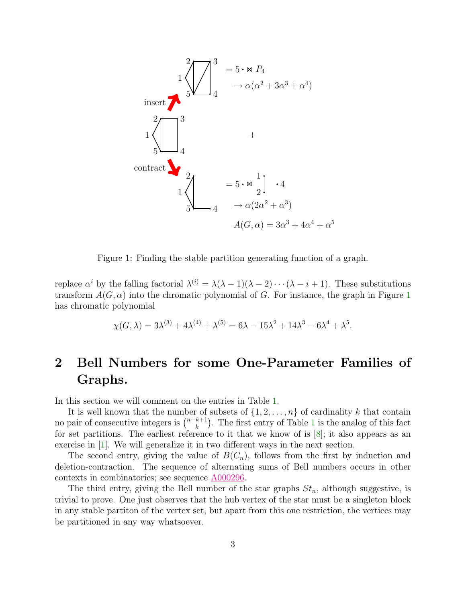<span id="page-2-1"></span>

Figure 1: Finding the stable partition generating function of a graph.

replace  $\alpha^i$  by the falling factorial  $\lambda^{(i)} = \lambda(\lambda - 1)(\lambda - 2) \cdots (\lambda - i + 1)$ . These substitutions transform  $A(G, \alpha)$  into the chromatic polynomial of G. For instance, the graph in Figure [1](#page-2-1) has chromatic polynomial

$$
\chi(G,\lambda) = 3\lambda^{(3)} + 4\lambda^{(4)} + \lambda^{(5)} = 6\lambda - 15\lambda^2 + 14\lambda^3 - 6\lambda^4 + \lambda^5.
$$

## <span id="page-2-0"></span>2 Bell Numbers for some One-Parameter Families of Graphs.

In this section we will comment on the entries in Table [1.](#page-4-0)

It is well known that the number of subsets of  $\{1, 2, \ldots, n\}$  of cardinality k that contain no pair of consecutive integers is  $\binom{n-k+1}{k}$  $\binom{k+1}{k}$  $\binom{k+1}{k}$  $\binom{k+1}{k}$ . The first entry of Table 1 is the analog of this fact for set partitions. The earliest reference to it that we know of is [\[8\]](#page-12-1); it also appears as an exercise in [\[1\]](#page-11-2). We will generalize it in two different ways in the next section.

The second entry, giving the value of  $B(C_n)$ , follows from the first by induction and deletion-contraction. The sequence of alternating sums of Bell numbers occurs in other contexts in combinatorics; see sequence [A000296.](http://www.research.att.com/cgi-bin/access.cgi/as/~njas/sequences/eisA.cgi?Anum=A000296)

The third entry, giving the Bell number of the star graphs  $St_n$ , although suggestive, is trivial to prove. One just observes that the hub vertex of the star must be a singleton block in any stable partiton of the vertex set, but apart from this one restriction, the vertices may be partitioned in any way whatsoever.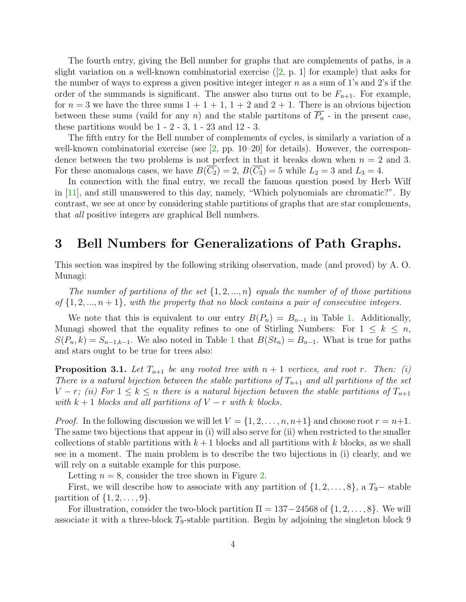The fourth entry, giving the Bell number for graphs that are complements of paths, is a slight variation on a well-known combinatorial exercise  $(2, p. 1)$  for example) that asks for the number of ways to express a given positive integer integer  $n$  as a sum of 1's and 2's if the order of the summands is significant. The answer also turns out to be  $F_{n+1}$ . For example, for  $n = 3$  we have the three sums  $1 + 1 + 1$ ,  $1 + 2$  and  $2 + 1$ . There is an obvious bijection between these sums (vaild for any n) and the stable partitions of  $\overline{P_n}$  - in the present case, these partitions would be  $1 - 2 - 3$ ,  $1 - 23$  and  $12 - 3$ .

The fifth entry for the Bell number of complements of cycles, is similarly a variation of a well-known combinatorial exercise (see  $[2, pp. 10–20]$  for details). However, the correspondence between the two problems is not perfect in that it breaks down when  $n = 2$  and 3. For these anomalous cases, we have  $B(C_2) = 2$ ,  $B(C_3) = 5$  while  $L_2 = 3$  and  $L_3 = 4$ .

In connection with the final entry, we recall the famous question posed by Herb Wilf in [\[11\]](#page-12-2), and still unanswered to this day, namely, "Which polynomials are chromatic?". By contrast, we see at once by considering stable partitions of graphs that are star complements, that all positive integers are graphical Bell numbers.

#### 3 Bell Numbers for Generalizations of Path Graphs.

This section was inspired by the following striking observation, made (and proved) by A. O. Munagi:

The number of partitions of the set  $\{1, 2, ..., n\}$  equals the number of of those partitions of  $\{1, 2, ..., n+1\}$ , with the property that no block contains a pair of consecutive integers.

We note that this is equivalent to our entry  $B(P_n) = B_{n-1}$  in Table [1.](#page-4-0) Additionally, Munagi showed that the equality refines to one of Stirling Numbers: For  $1 \leq k \leq n$ ,  $S(P_n, k) = S_{n-1,k-1}$  $S(P_n, k) = S_{n-1,k-1}$  $S(P_n, k) = S_{n-1,k-1}$ . We also noted in Table 1 that  $B(St_n) = B_{n-1}$ . What is true for paths and stars ought to be true for trees also:

**Proposition 3.1.** Let  $T_{n+1}$  be any rooted tree with  $n+1$  vertices, and root r. Then: (i) There is a natural bijection between the stable partitions of  $T_{n+1}$  and all partitions of the set  $V - r$ ; (ii) For  $1 \leq k \leq n$  there is a natural bijection between the stable partitions of  $T_{n+1}$ with  $k + 1$  blocks and all partitions of  $V - r$  with k blocks.

*Proof.* In the following discussion we will let  $V = \{1, 2, \ldots, n, n+1\}$  and choose root  $r = n+1$ . The same two bijections that appear in (i) will also serve for (ii) when restricted to the smaller collections of stable partitions with  $k+1$  blocks and all partitions with k blocks, as we shall see in a moment. The main problem is to describe the two bijections in (i) clearly, and we will rely on a suitable example for this purpose.

Letting  $n = 8$ , consider the tree shown in Figure [2.](#page-5-0)

First, we will describe how to associate with any partition of  $\{1, 2, \ldots, 8\}$ , a  $T_9$ – stable partition of  $\{1, 2, \ldots, 9\}$ .

For illustration, consider the two-block partition  $\Pi = 137-24568$  of  $\{1, 2, ..., 8\}$ . We will associate it with a three-block  $T_9$ -stable partition. Begin by adjoining the singleton block 9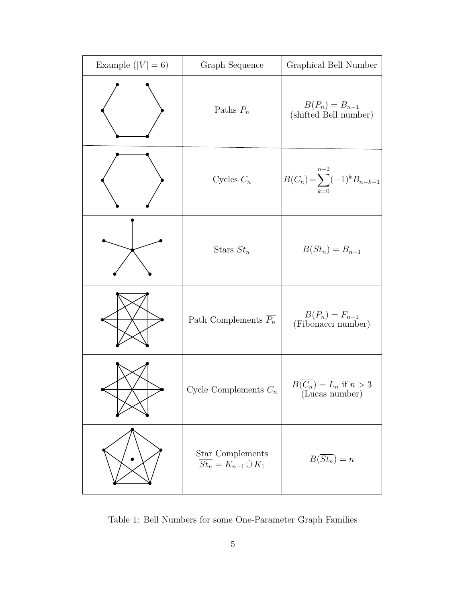<span id="page-4-0"></span>

| Example $( V  = 6)$ | Graph Sequence                                           | Graphical Bell Number                              |
|---------------------|----------------------------------------------------------|----------------------------------------------------|
|                     | Paths $P_n$                                              | $B(P_n) = B_{n-1}$<br>(shifted Bell number)        |
|                     | Cycles $C_n$                                             | $B(C_n) = \sum_{k=0}^{n-2} (-1)^k B_{n-k-1}$       |
|                     | Stars $St_n$                                             | $B(St_n) = B_{n-1}$                                |
|                     | Path Complements $\overline{P_n}$                        | $B(\overline{P_n})=F_{n+1}$<br>(Fibonacci number)  |
|                     | Cycle Complements $\overline{C_n}$                       | $B(\overline{C_n})=L_n$ if $n>3$<br>(Lucas number) |
|                     | Star Complements<br>$\overline{St_n} = K_{n-1} \cup K_1$ | $B(\overline{St_n})=n$                             |

Table 1: Bell Numbers for some One-Parameter Graph Families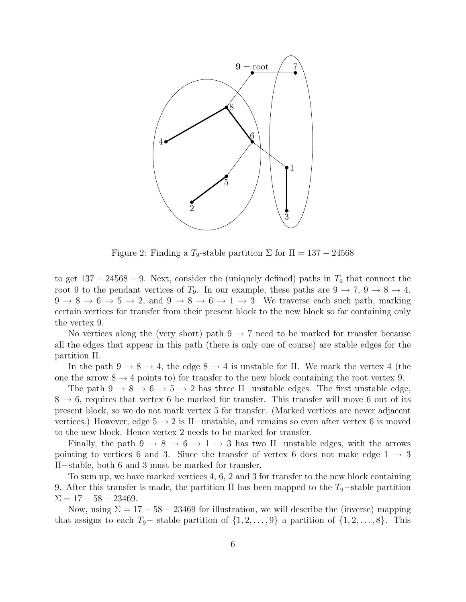<span id="page-5-0"></span>

Figure 2: Finding a  $T_9$ -stable partition  $\Sigma$  for  $\Pi = 137 - 24568$ 

to get  $137 - 24568 - 9$ . Next, consider the (uniquely defined) paths in  $T_9$  that connect the root 9 to the pendant vertices of  $T_9$ . In our example, these paths are  $9 \rightarrow 7, 9 \rightarrow 8 \rightarrow 4,$  $9 \rightarrow 8 \rightarrow 6 \rightarrow 5 \rightarrow 2$ , and  $9 \rightarrow 8 \rightarrow 6 \rightarrow 1 \rightarrow 3$ . We traverse each such path, marking certain vertices for transfer from their present block to the new block so far containing only the vertex 9.

No vertices along the (very short) path  $9 \rightarrow 7$  need to be marked for transfer because all the edges that appear in this path (there is only one of course) are stable edges for the partition Π.

In the path  $9 \rightarrow 8 \rightarrow 4$ , the edge  $8 \rightarrow 4$  is unstable for  $\Pi$ . We mark the vertex 4 (the one the arrow  $8 \rightarrow 4$  points to) for transfer to the new block containing the root vertex 9.

The path  $9 \rightarrow 8 \rightarrow 6 \rightarrow 5 \rightarrow 2$  has three  $\Pi$ -unstable edges. The first unstable edge,  $8 \rightarrow 6$ , requires that vertex 6 be marked for transfer. This transfer will move 6 out of its present block, so we do not mark vertex 5 for transfer. (Marked vertices are never adjacent vertices.) However, edge  $5 \rightarrow 2$  is  $\Pi$ -unstable, and remains so even after vertex 6 is moved to the new block. Hence vertex 2 needs to be marked for transfer.

Finally, the path  $9 \rightarrow 8 \rightarrow 6 \rightarrow 1 \rightarrow 3$  has two  $\Pi$ -unstable edges, with the arrows pointing to vertices 6 and 3. Since the transfer of vertex 6 does not make edge  $1 \rightarrow 3$ Π−stable, both 6 and 3 must be marked for transfer.

To sum up, we have marked vertices 4, 6, 2 and 3 for transfer to the new block containing 9. After this transfer is made, the partition  $\Pi$  has been mapped to the  $T_9$ –stable partition  $\Sigma = 17 - 58 - 23469.$ 

Now, using  $\Sigma = 17 - 58 - 23469$  for illustration, we will describe the (inverse) mapping that assigns to each  $T_9$ – stable partition of  $\{1, 2, \ldots, 9\}$  a partition of  $\{1, 2, \ldots, 8\}$ . This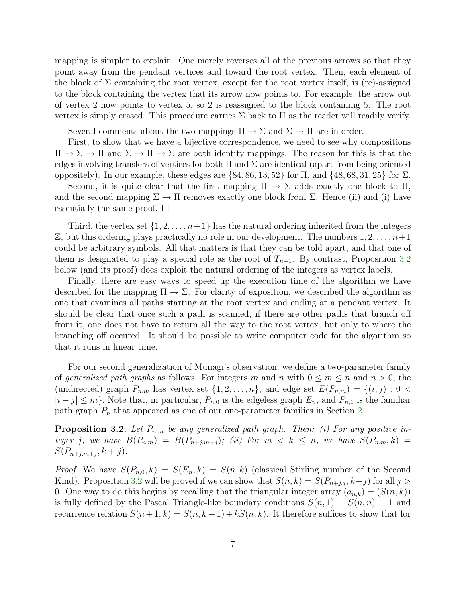mapping is simpler to explain. One merely reverses all of the previous arrows so that they point away from the pendant vertices and toward the root vertex. Then, each element of the block of  $\Sigma$  containing the root vertex, except for the root vertex itself, is (re)-assigned to the block containing the vertex that its arrow now points to. For example, the arrow out of vertex 2 now points to vertex 5, so 2 is reassigned to the block containing 5. The root vertex is simply erased. This procedure carries  $\Sigma$  back to  $\Pi$  as the reader will readily verify.

Several comments about the two mappings  $\Pi \to \Sigma$  and  $\Sigma \to \Pi$  are in order.

First, to show that we have a bijective correspondence, we need to see why compositions  $\Pi \to \Sigma \to \Pi$  and  $\Sigma \to \Pi \to \Sigma$  are both identity mappings. The reason for this is that the edges involving transfers of vertices for both  $\Pi$  and  $\Sigma$  are identical (apart from being oriented oppositely). In our example, these edges are  $\{84, 86, 13, 52\}$  for  $\Pi$ , and  $\{48, 68, 31, 25\}$  for  $\Sigma$ .

Second, it is quite clear that the first mapping  $\Pi \to \Sigma$  adds exactly one block to  $\Pi$ , and the second mapping  $\Sigma \to \Pi$  removes exactly one block from  $\Sigma$ . Hence (ii) and (i) have essentially the same proof.  $\square$ 

Third, the vertex set  $\{1, 2, \ldots, n+1\}$  has the natural ordering inherited from the integers  $\mathbb Z$ , but this ordering plays practically no role in our development. The numbers  $1, 2, \ldots, n+1$ could be arbitrary symbols. All that matters is that they can be told apart, and that one of them is designated to play a special role as the root of  $T_{n+1}$ . By contrast, Proposition [3.2](#page-6-0) below (and its proof) does exploit the natural ordering of the integers as vertex labels.

Finally, there are easy ways to speed up the execution time of the algorithm we have described for the mapping  $\Pi \to \Sigma$ . For clarity of exposition, we described the algorithm as one that examines all paths starting at the root vertex and ending at a pendant vertex. It should be clear that once such a path is scanned, if there are other paths that branch off from it, one does not have to return all the way to the root vertex, but only to where the branching off occured. It should be possible to write computer code for the algorithm so that it runs in linear time.

For our second generalization of Munagi's observation, we define a two-parameter family of generalized path graphs as follows: For integers m and n with  $0 \le m \le n$  and  $n > 0$ , the (undirected) graph  $P_{n,m}$  has vertex set  $\{1, 2, \ldots, n\}$ , and edge set  $E(P_{n,m}) = \{(i, j) : 0 \leq j \leq n\}$  $|i-j| \leq m$ . Note that, in particular,  $P_{n,0}$  is the edgeless graph  $E_n$ , and  $P_{n,1}$  is the familiar path graph  $P_n$  that appeared as one of our one-parameter families in Section [2.](#page-2-0)

<span id="page-6-0"></span>**Proposition 3.2.** Let  $P_{n,m}$  be any generalized path graph. Then: (i) For any positive integer j, we have  $B(P_{n,m}) = B(P_{n+j,m+j});$  (ii) For  $m \leq k \leq n$ , we have  $S(P_{n,m},k) =$  $S(P_{n+j,m+j}, k+j).$ 

*Proof.* We have  $S(P_{n,0}, k) = S(E_n, k) = S(n, k)$  (classical Stirling number of the Second Kind). Proposition [3.2](#page-6-0) will be proved if we can show that  $S(n, k) = S(P_{n+j,j}, k+j)$  for all  $j >$ 0. One way to do this begins by recalling that the triangular integer array  $(a_{n,k}) = (S(n, k))$ is fully defined by the Pascal Triangle-like boundary conditions  $S(n, 1) = S(n, n) = 1$  and recurrence relation  $S(n+1, k) = S(n, k-1) + kS(n, k)$ . It therefore suffices to show that for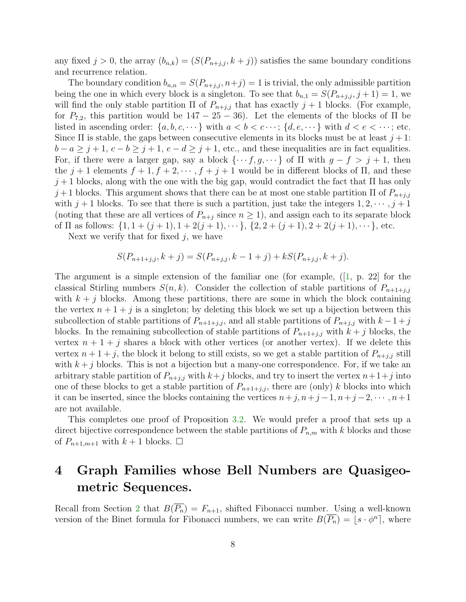any fixed  $j > 0$ , the array  $(b_{n,k}) = (S(P_{n+j,j}, k+j))$  satisfies the same boundary conditions and recurrence relation.

The boundary condition  $b_{n,n} = S(P_{n+j,i}, n+j) = 1$  is trivial, the only admissible partition being the one in which every block is a singleton. To see that  $b_{n,1} = S(P_{n+j,j}, j+1) = 1$ , we will find the only stable partition  $\Pi$  of  $P_{n+j,j}$  that has exactly  $j+1$  blocks. (For example, for  $P_{7,2}$ , this partition would be  $147 - 25 - 36$ ). Let the elements of the blocks of  $\Pi$  be listed in ascending order:  $\{a, b, c, \dots\}$  with  $a < b < c \dots$ ;  $\{d, e, \dots\}$  with  $d < e < \dots$ ; etc. Since  $\Pi$  is stable, the gaps between consecutive elements in its blocks must be at least  $j+1$ :  $b - a \geq j + 1, c - b \geq j + 1, e - d \geq j + 1$ , etc., and these inequalities are in fact equalities. For, if there were a larger gap, say a block  $\{\cdots f, g, \cdots\}$  of  $\Pi$  with  $g - f > j + 1$ , then the  $j + 1$  elements  $f + 1, f + 2, \dots, f + j + 1$  would be in different blocks of  $\Pi$ , and these  $j+1$  blocks, along with the one with the big gap, would contradict the fact that  $\Pi$  has only  $j+1$  blocks. This argument shows that there can be at most one stable partition  $\Pi$  of  $P_{n+j,j}$ with  $j + 1$  blocks. To see that there is such a partition, just take the integers  $1, 2, \dots, j + 1$ (noting that these are all vertices of  $P_{n+j}$  since  $n \geq 1$ ), and assign each to its separate block of  $\Pi$  as follows:  $\{1, 1 + (j + 1), 1 + 2(j + 1), \dots\}$ ,  $\{2, 2 + (j + 1), 2 + 2(j + 1), \dots\}$ , etc.

Next we verify that for fixed  $j$ , we have

$$
S(P_{n+1+j,j}, k+j) = S(P_{n+j,j}, k-1+j) + kS(P_{n+j,j}, k+j).
$$

The argument is a simple extension of the familiar one (for example, (1, p. 22) for the classical Stirling numbers  $S(n, k)$ . Consider the collection of stable partitions of  $P_{n+1+j,j}$ with  $k + j$  blocks. Among these partitions, there are some in which the block containing the vertex  $n + 1 + i$  is a singleton; by deleting this block we set up a bijection between this subcollection of stable partitions of  $P_{n+1+j,j}$ , and all stable partitions of  $P_{n+j,j}$  with  $k-1+j$ blocks. In the remaining subcollection of stable partitions of  $P_{n+1+j,j}$  with  $k+j$  blocks, the vertex  $n + 1 + j$  shares a block with other vertices (or another vertex). If we delete this vertex  $n+1+j$ , the block it belong to still exists, so we get a stable partition of  $P_{n+j,j}$  still with  $k + j$  blocks. This is not a bijection but a many-one correspondence. For, if we take an arbitrary stable partition of  $P_{n+j,j}$  with  $k+j$  blocks, and try to insert the vertex  $n+1+j$  into one of these blocks to get a stable partition of  $P_{n+1+j,j}$ , there are (only) k blocks into which it can be inserted, since the blocks containing the vertices  $n+j$ ,  $n+j-1$ ,  $n+j-2$ ,  $\cdots$ ,  $n+1$ are not available.

This completes one proof of Proposition [3.2.](#page-6-0) We would prefer a proof that sets up a direct bijective correspondence between the stable partitions of  $P_{n,m}$  with k blocks and those of  $P_{n+1,m+1}$  with  $k+1$  blocks.  $\Box$ 

### 4 Graph Families whose Bell Numbers are Quasigeometric Sequences.

Recall from Section [2](#page-2-0) that  $B(\overline{P_n}) = F_{n+1}$ , shifted Fibonacci number. Using a well-known version of the Binet formula for Fibonacci numbers, we can write  $B(\overline{P_n}) = \lfloor s \cdot \phi^n \rfloor$ , where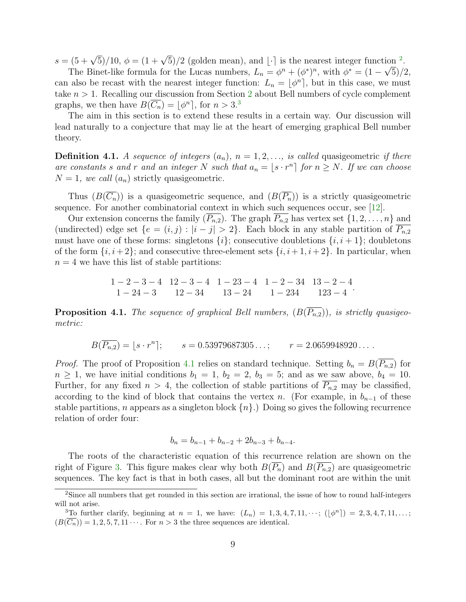$s = (5 + \sqrt{5})/10$ ,  $\phi = (1 + \sqrt{5})/2$  $\phi = (1 + \sqrt{5})/2$  (golden mean), and [·] is the nearest integer function <sup>2</sup>.

The Binet-like formula for the Lucas numbers,  $L_n = \phi^n + (\phi^*)^n$ , with  $\phi^* = (1 - \sqrt{5})/2$ , can also be recast with the nearest integer function:  $L_n = \lfloor \phi^n \rfloor$ , but in this case, we must take  $n > 1$ . Recalling our discussion from Section [2](#page-2-0) about Bell numbers of cycle complement graphs, we then have  $B(\overline{C_n}) = \lfloor \phi^n \rceil$ , for  $n > 3.3$  $n > 3.3$  $n > 3.3$ 

The aim in this section is to extend these results in a certain way. Our discussion will lead naturally to a conjecture that may lie at the heart of emerging graphical Bell number theory.

**Definition 4.1.** A sequence of integers  $(a_n)$ ,  $n = 1, 2, \ldots$ , is called quasigeometric if there are constants s and r and an integer N such that  $a_n = \lfloor s \cdot r^n \rfloor$  for  $n \geq N$ . If we can choose  $N = 1$ , we call  $(a_n)$  strictly quasigeometric.

Thus  $(B(\overline{C_n}))$  is a quasigeometric sequence, and  $(B(\overline{P_n}))$  is a strictly quasigeometric sequence. For another combinatorial context in which such sequences occur, see [\[12\]](#page-12-3).

Our extension concerns the family  $(\overline{P_{n,2}})$ . The graph  $\overline{P_{n,2}}$  has vertex set  $\{1,2,\ldots,n\}$  and (undirected) edge set  $\{e = (i, j) : |i - j| > 2\}$ . Each block in any stable partition of  $P_{n,2}$ must have one of these forms: singletons  $\{i\}$ ; consecutive doubletions  $\{i, i+1\}$ ; doubletons of the form  $\{i, i+2\}$ ; and consecutive three-element sets  $\{i, i+1, i+2\}$ . In particular, when  $n = 4$  we have this list of stable partitions:

$$
\begin{array}{ccccccccc}\n1-2-3-4 & 12-3-4 & 1-23-4 & 1-2-34 & 13-2-4 \\
1-24-3 & 12-34 & 13-24 & 1-234 & 123-4\n\end{array}.
$$

<span id="page-8-2"></span>**Proposition 4.1.** The sequence of graphical Bell numbers,  $(B(\overline{P_{n,2}}))$ , is strictly quasigeometric:

 $B(\overline{P_{n,2}}) = \lfloor s \cdot r^n \rfloor;$   $s = 0.53979687305...;$   $r = 2.0659948920...$ 

*Proof.* The proof of Proposition [4.1](#page-8-2) relies on standard technique. Setting  $b_n = B(P_{n,2})$  for  $n \geq 1$ , we have initial conditions  $b_1 = 1$ ,  $b_2 = 2$ ,  $b_3 = 5$ ; and as we saw above,  $b_4 = 10$ . Further, for any fixed  $n > 4$ , the collection of stable partitions of  $\overline{P_{n,2}}$  may be classified, according to the kind of block that contains the vertex n. (For example, in  $b_{n-1}$  of these stable partitions, n appears as a singleton block  $\{n\}$ .) Doing so gives the following recurrence relation of order four:

$$
b_n = b_{n-1} + b_{n-2} + 2b_{n-3} + b_{n-4}.
$$

The roots of the characteristic equation of this recurrence relation are shown on the right of Figure [3.](#page-9-0) This figure makes clear why both  $B(P_n)$  and  $B(P_{n,2})$  are quasigeometric sequences. The key fact is that in both cases, all but the dominant root are within the unit

<span id="page-8-0"></span><sup>2</sup>Since all numbers that get rounded in this section are irrational, the issue of how to round half-integers will not arise.

<span id="page-8-1"></span> ${}^{3}$ To further clarify, beginning at  $n = 1$ , we have:  $(L_n) = 1, 3, 4, 7, 11, \cdots$ ;  $(|\phi^n|) = 2, 3, 4, 7, 11, \ldots$ ;  $(B(\overline{C_n})) = 1, 2, 5, 7, 11 \cdots$  For  $n > 3$  the three sequences are identical.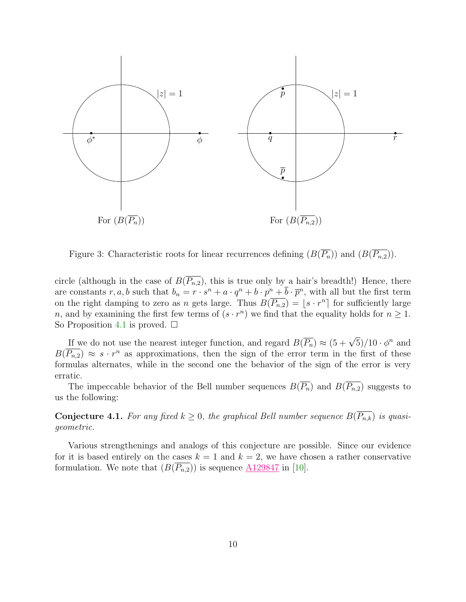<span id="page-9-0"></span>

Figure 3: Characteristic roots for linear recurrences defining  $(B(\overline{P_n}))$  and  $(B(\overline{P_{n,2}}))$ .

circle (although in the case of  $B(\overline{P_{n,2}})$ , this is true only by a hair's breadth!) Hence, there are constants r, a, b such that  $b_n = r \cdot s^n + a \cdot q^n + b \cdot p^n + \overline{b} \cdot \overline{p}^n$ , with all but the first term on the right damping to zero as n gets large. Thus  $B(\overline{P_{n,2}}) = \lfloor s \cdot r^n \rfloor$  for sufficiently large n, and by examining the first few terms of  $(s \cdot r^n)$  we find that the equality holds for  $n \geq 1$ . So Proposition [4.1](#page-8-2) is proved.  $\square$ 

If we do not use the nearest integer function, and regard  $B(\overline{P_n}) \approx (5 + \sqrt{5})/10 \cdot \phi^n$  and  $B(\overline{P_{n,2}}) \approx s \cdot r^n$  as approximations, then the sign of the error term in the first of these formulas alternates, while in the second one the behavior of the sign of the error is very erratic.

The impeccable behavior of the Bell number sequences  $B(\overline{P_n})$  and  $B(\overline{P_{n,2}})$  suggests to us the following:

**Conjecture 4.1.** For any fixed  $k \geq 0$ , the graphical Bell number sequence  $B(\overline{P_{n,k}})$  is quasigeometric.

Various strengthenings and analogs of this conjecture are possible. Since our evidence for it is based entirely on the cases  $k = 1$  and  $k = 2$ , we have chosen a rather conservative formulation. We note that  $(B(\overline{P_{n,2}}))$  is sequence  $\underline{A129847}$  $\underline{A129847}$  $\underline{A129847}$  in [\[10\]](#page-12-0).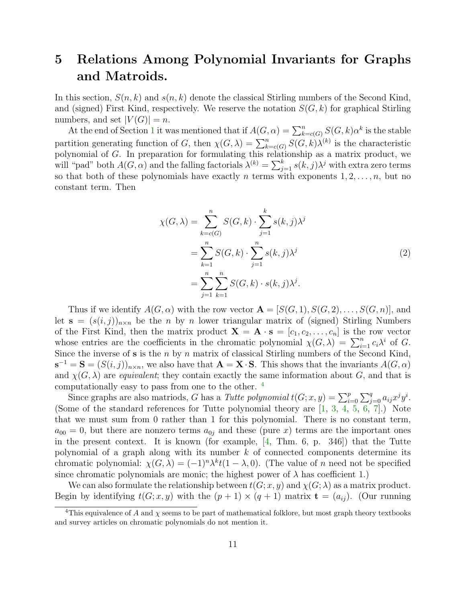### <span id="page-10-0"></span>5 Relations Among Polynomial Invariants for Graphs and Matroids.

In this section,  $S(n, k)$  and  $s(n, k)$  denote the classical Stirling numbers of the Second Kind, and (signed) First Kind, respectively. We reserve the notation  $S(G, k)$  for graphical Stirling numbers, and set  $|V(G)| = n$ .

At the end of Section [1](#page-0-0) it was mentioned that if  $A(G, \alpha) = \sum_{k=c(G)}^{n} S(G, k) \alpha^{k}$  is the stable partition generating function of G, then  $\chi(G,\lambda) = \sum_{k=c(G)}^{n} S(G,k)\lambda^{(k)}$  is the characteristic polynomial of G. In preparation for formulating this relationship as a matrix product, we will "pad" both  $A(G, \alpha)$  and the falling factorials  $\lambda^{(k)} = \sum_{j=1}^{k} s(k, j) \lambda^{j}$  with extra zero terms so that both of these polynomials have exactly n terms with exponents  $1, 2, \ldots, n$ , but no constant term. Then

$$
\chi(G,\lambda) = \sum_{k=c(G)}^{n} S(G,k) \cdot \sum_{j=1}^{k} s(k,j)\lambda^{j}
$$

$$
= \sum_{k=1}^{n} S(G,k) \cdot \sum_{j=1}^{n} s(k,j)\lambda^{j}
$$

$$
= \sum_{j=1}^{n} \sum_{k=1}^{n} S(G,k) \cdot s(k,j)\lambda^{j}.
$$

$$
(2)
$$

Thus if we identify  $A(G, \alpha)$  with the row vector  $\mathbf{A} = [S(G, 1), S(G, 2), \dots, S(G, n)]$ , and let  $\mathbf{s} = (s(i, j))_{n \times n}$  be the *n* by *n* lower triangular matrix of (signed) Stirling Numbers of the First Kind, then the matrix product  $\mathbf{X} = \mathbf{A} \cdot \mathbf{s} = [c_1, c_2, \dots, c_n]$  is the row vector whose entries are the coefficients in the chromatic polynomial  $\chi(G, \lambda) = \sum_{i=1}^n c_i \lambda^i$  of G. Since the inverse of  $s$  is the  $n$  by  $n$  matrix of classical Stirling numbers of the Second Kind,  $\mathbf{s}^{-1} = \mathbf{S} = (S(i, j))_{n \times n}$ , we also have that  $\mathbf{A} = \mathbf{X} \cdot \mathbf{S}$ . This shows that the invariants  $A(G, \alpha)$ and  $\chi(G, \lambda)$  are *equivalent*; they contain exactly the same information about G, and that is computationally easy to pass from one to the other. [4](#page-10-1)

Since graphs are also matriods, G has a Tutte polynomial  $t(G; x, y) = \sum_{i=0}^{p} \sum_{j=0}^{q} a_{ij} x^j y^i$ . (Some of the standard references for Tutte polynomial theory are [\[1,](#page-11-2) [3,](#page-11-0) [4,](#page-11-1) [5,](#page-11-4) [6,](#page-11-5) [7\]](#page-11-6).) Note that we must sum from 0 rather than 1 for this polynomial. There is no constant term,  $a_{00} = 0$ , but there are nonzero terms  $a_{0j}$  and these (pure x) terms are the important ones in the present context. It is known (for example, [\[4,](#page-11-1) Thm. 6, p. 346]) that the Tutte polynomial of a graph along with its number  $k$  of connected components determine its chromatic polynomial:  $\chi(G, \lambda) = (-1)^n \lambda^k t(1 - \lambda, 0)$ . (The value of n need not be specified since chromatic polynomials are monic; the highest power of  $\lambda$  has coefficient 1.)

We can also formulate the relationship between  $t(G; x, y)$  and  $\chi(G; \lambda)$  as a matrix product. Begin by identifying  $t(G; x, y)$  with the  $(p + 1) \times (q + 1)$  matrix  $\mathbf{t} = (a_{ij})$ . (Our running

<span id="page-10-1"></span><sup>&</sup>lt;sup>4</sup>This equivalence of A and  $\chi$  seems to be part of mathematical folklore, but most graph theory textbooks and survey articles on chromatic polynomials do not mention it.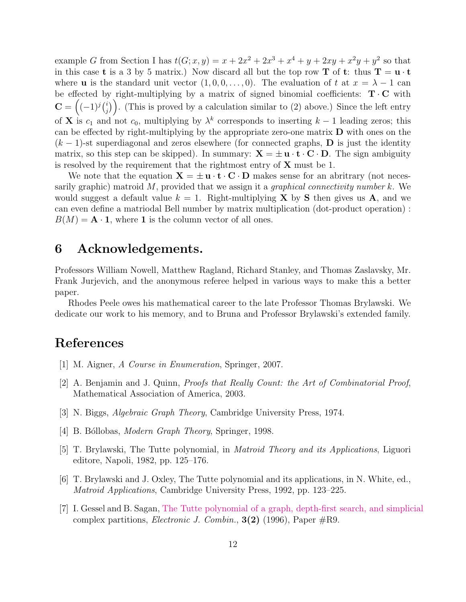example G from Section I has  $t(G; x, y) = x + 2x^2 + 2x^3 + x^4 + y + 2xy + x^2y + y^2$  so that in this case **t** is a 3 by 5 matrix.) Now discard all but the top row **T** of **t**: thus  $T = u \cdot t$ where **u** is the standard unit vector  $(1, 0, 0, \ldots, 0)$ . The evaluation of t at  $x = \lambda - 1$  can be effected by right-multiplying by a matrix of signed binomial coefficients:  $T \cdot C$  with  $\mathbf{C} = \left((-1)^j \binom{i}{j} \right.$  $\binom{i}{j}$ . (This is proved by a calculation similar to (2) above.) Since the left entry of **X** is  $c_1$  and not  $c_0$ , multiplying by  $\lambda^k$  corresponds to inserting  $k-1$  leading zeros; this can be effected by right-multiplying by the appropriate zero-one matrix D with ones on the  $(k-1)$ -st superdiagonal and zeros elsewhere (for connected graphs, **D** is just the identity matrix, so this step can be skipped). In summary:  $X = \pm u \cdot t \cdot C \cdot D$ . The sign ambiguity is resolved by the requirement that the rightmost entry of  $X$  must be 1.

We note that the equation  ${\bf X} = \pm {\bf u} \cdot {\bf t} \cdot {\bf C} \cdot {\bf D}$  makes sense for an abritrary (not necessarily graphic) matroid  $M$ , provided that we assign it a *graphical connectivity number*  $k$ . We would suggest a default value  $k = 1$ . Right-multiplying **X** by **S** then gives us **A**, and we can even define a matriodal Bell number by matrix multiplication (dot-product operation) :  $B(M) = \mathbf{A} \cdot \mathbf{1}$ , where 1 is the column vector of all ones.

### 6 Acknowledgements.

Professors William Nowell, Matthew Ragland, Richard Stanley, and Thomas Zaslavsky, Mr. Frank Jurjevich, and the anonymous referee helped in various ways to make this a better paper.

Rhodes Peele owes his mathematical career to the late Professor Thomas Brylawski. We dedicate our work to his memory, and to Bruna and Professor Brylawski's extended family.

#### <span id="page-11-2"></span>References

- <span id="page-11-3"></span>[1] M. Aigner, A Course in Enumeration, Springer, 2007.
- [2] A. Benjamin and J. Quinn, Proofs that Really Count: the Art of Combinatorial Proof, Mathematical Association of America, 2003.
- <span id="page-11-1"></span><span id="page-11-0"></span>[3] N. Biggs, Algebraic Graph Theory, Cambridge University Press, 1974.
- <span id="page-11-4"></span>[4] B. Bóllobas, *Modern Graph Theory*, Springer, 1998.
- <span id="page-11-5"></span>[5] T. Brylawski, The Tutte polynomial, in Matroid Theory and its Applications, Liguori editore, Napoli, 1982, pp. 125–176.
- [6] T. Brylawski and J. Oxley, The Tutte polynomial and its applications, in N. White, ed., Matroid Applications, Cambridge University Press, 1992, pp. 123–225.
- <span id="page-11-6"></span>[7] I. Gessel and B. Sagan, [The Tutte polynomial of a graph, depth-first search, and simplicial](http://www.combinatorics.org/Volume_3/Abstracts/v3i2r9.html) complex partitions, *Electronic J. Combin.*,  $3(2)$  (1996), Paper  $\#R9$ .